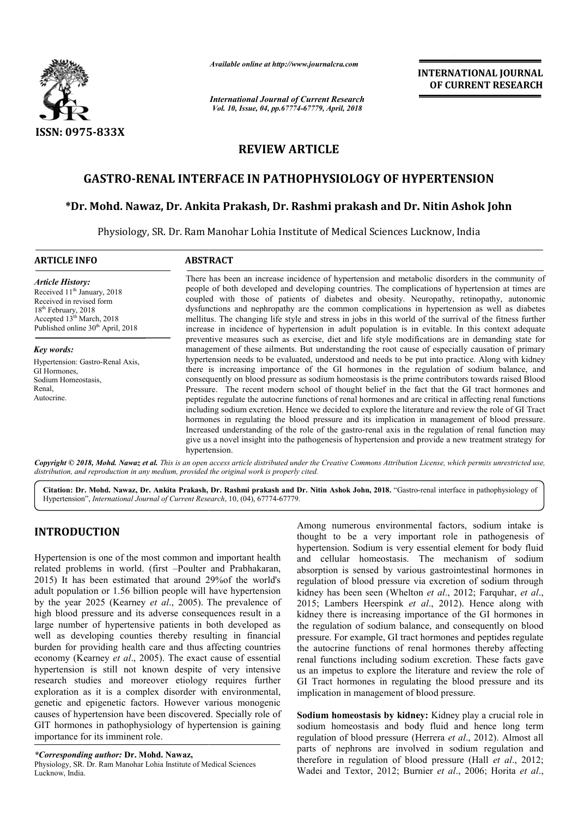

*Available online at http://www.journalcra.com*

*International Journal of Current Research Vol. 10, Issue, 04, pp.67774-67779, April, 2018*

**INTERNATIONAL JOURNAL OF CURRENT RESEARCH**

## **REVIEW ARTICLE**

### **GASTRO-RENAL INTERFACE IN PATHOPHYSIOLOGY OF HYPERTENSION**

# **\*Dr. Mohd. Nawaz, Dr. Ankita Prakash, Dr. Rashm RENAL Dr. Rashmi prakash and Dr. Nitin Ashok John John**

Physiology, SR. Dr. Ram Manohar Lohia Institute of Medical Sciences Lucknow, India

| <b>ARTICLE INFO</b>                                                                                                                                                                                                | <b>ABSTRACT</b>                                                                                                                                                                                                                                                                                                                                                                                                                                                                                                                                                                                                                                                                                                                                                                                                                                                                                                                                                         |
|--------------------------------------------------------------------------------------------------------------------------------------------------------------------------------------------------------------------|-------------------------------------------------------------------------------------------------------------------------------------------------------------------------------------------------------------------------------------------------------------------------------------------------------------------------------------------------------------------------------------------------------------------------------------------------------------------------------------------------------------------------------------------------------------------------------------------------------------------------------------------------------------------------------------------------------------------------------------------------------------------------------------------------------------------------------------------------------------------------------------------------------------------------------------------------------------------------|
| <b>Article History:</b><br>Received 11 <sup>th</sup> January, 2018<br>Received in revised form<br>18 <sup>th</sup> February, 2018<br>Accepted $13th March$ , 2018<br>Published online 30 <sup>th</sup> April, 2018 | There has been an increase incidence of hypertension and metabolic disorders in the community of<br>people of both developed and developing countries. The complications of hypertension at times are<br>coupled with those of patients of diabetes and obesity. Neuropathy, retinopathy, autonomic<br>dysfunctions and nephropathy are the common complications in hypertension as well as diabetes<br>mellitus. The changing life style and stress in jobs in this world of the surrival of the fitness further<br>increase in incidence of hypertension in adult population is in evitable. In this context adequate                                                                                                                                                                                                                                                                                                                                                 |
| Key words:                                                                                                                                                                                                         | preventive measures such as exercise, diet and life style modifications are in demanding state for<br>management of these ailments. But understanding the root cause of especially causation of primary                                                                                                                                                                                                                                                                                                                                                                                                                                                                                                                                                                                                                                                                                                                                                                 |
| Hypertension: Gastro-Renal Axis,<br>GI Hormones,<br>Sodium Homeostasis,<br>Renal,<br>Autocrine.                                                                                                                    | hypertension needs to be evaluated, understood and needs to be put into practice. Along with kidney<br>there is increasing importance of the GI hormones in the regulation of sodium balance, and<br>consequently on blood pressure as sodium homeostasis is the prime contributors towards raised Blood<br>Pressure. The recent modern school of thought belief in the fact that the GI tract hormones and<br>peptides regulate the autocrine functions of renal hormones and are critical in affecting renal functions<br>including sodium excretion. Hence we decided to explore the literature and review the role of GI Tract<br>hormones in regulating the blood pressure and its implication in management of blood pressure.<br>Increased understanding of the role of the gastro-renal axis in the regulation of renal function may<br>give us a novel insight into the pathogenesis of hypertension and provide a new treatment strategy for<br>hypertension. |
|                                                                                                                                                                                                                    | Copyright © 2018, Mohd. Nawaz et al. This is an open access article distributed under the Creative Commons Attribution License, which permits unrestricted use,                                                                                                                                                                                                                                                                                                                                                                                                                                                                                                                                                                                                                                                                                                                                                                                                         |

**Citation: Dr. Mohd. Nawaz, Dr. Ankita Prakash, Dr. Rashmi prakash and Dr. Nitin Ashok John John, 2018.** "Gastro Gastro-renal interface in pathophysiology of Hypertension", *International Journal of Current Research* , 10, (04), 67774-67779.

#### **INTRODUCTION**

Hypertension is one of the most common and important health related problems in world. (first –Poulter and Prabhakaran, 2015) It has been estimated that around 29%of the world's adult population or 1.56 billion people will have hypertension by the year 2025 (Kearney *et al*., 2005). The prevalence of high blood pressure and its adverse consequences result in a large number of hypertensive patients in both developed as well as developing counties thereby resulting in financial burden for providing health care and thus affecting countries economy (Kearney *et al*., 2005). The exact cause of essential hypertension is still not known despite of very intensive research studies and moreover etiology requires further exploration as it is a complex disorder with environmental, genetic and epigenetic factors. However various monogenic causes of hypertension have been discovered. Specially role of GIT hormones in pathophysiology of hypertension is gaining importance for its imminent role.

*distribution, and reproduction in any medium, provided the original work is properly cited.*

*\*Corresponding author:* **Dr. Mohd. Nawaz,** Physiology, SR. Dr. Ram Manohar Lohia Institute of Medical Sciences Lucknow, India.

Among numerous environmental factors, sodium intake is thought to be a very important role in pathogenesis of hypertension. Sodium is very essential element for body fluid and cellular homeostasis. The mechanism of so absorption is sensed by various gastrointestinal hormones in regulation of blood pressure via excretion of sodium through regulation of blood pressure via excretion of sodium through<br>kidney has been seen (Whelton *et al.*, 2012; Farquhar, *et al.*, 2015; Lambers Heerspink *et al* ., 2012). Hence along with kidney there is increasing importance of the GI hormones in the regulation of sodium balance, and consequently on blood pressure. For example, GI tract hormones and peptides regulate the autocrine functions of renal hormones thereby affecting renal functions including sodium excretion. These facts gave us an impetus to explore the literature and review the role of GI Tract hormones in regulating the blood pressure and its implication in management of blood pressure. Among numerous environmental factors, sodium intake is thought to be a very important role in pathogenesis of hypertension. Sodium is very essential element for body fluid and cellular homeostasis. The mechanism of sodium In of sodium balance, and consequently on blood<br>example, GI tract hormones and peptides regulate<br>functions of renal hormones thereby affecting renal functions including sodium excretion. These facts gave<br>us an impetus to explore the literature and review the role of<br>GI Tract hormones in regulating the blood pressure and its

**Sodium homeostasis by kidney kidney:** Kidney play a crucial role in sodium homeostasis and body fluid and hence long term sodium homeostasis and body fluid and hence long term regulation of blood pressure (Herrera *et al.*, 2012). Almost all parts of nephrons are involved in sodium regulation and parts of nephrons are involved in sodium regulation and therefore in regulation of blood pressure (Hall *et al.*, 2012; Wadei and Textor, 2012; Burnier *et al*., 2006; Horita *et al*.,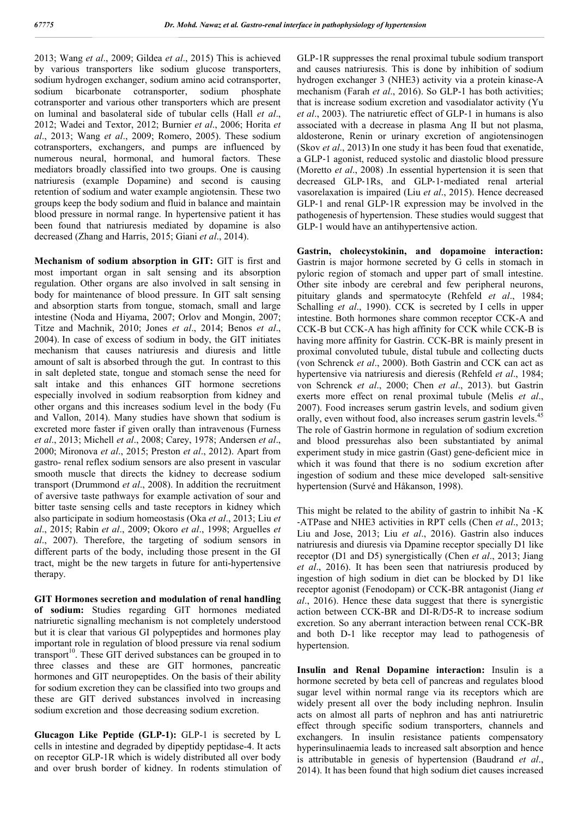2013; Wang *et al*., 2009; Gildea *et al*., 2015) This is achieved by various transporters like sodium glucose transporters, sodium hydrogen exchanger, sodium amino acid cotransporter, sodium bicarbonate cotransporter, sodium phosphate cotransporter and various other transporters which are present on luminal and basolateral side of tubular cells (Hall *et al*., 2012; Wadei and Textor, 2012; Burnier *et al*., 2006; Horita *et al*., 2013; Wang *et al*., 2009; Romero, 2005). These sodium cotransporters, exchangers, and pumps are influenced by numerous neural, hormonal, and humoral factors. These mediators broadly classified into two groups. One is causing natriuresis (example Dopamine) and second is causing retention of sodium and water example angiotensin. These two groups keep the body sodium and fluid in balance and maintain blood pressure in normal range. In hypertensive patient it has been found that natriuresis mediated by dopamine is also decreased (Zhang and Harris, 2015; Giani *et al*., 2014).

**Mechanism of sodium absorption in GIT:** GIT is first and most important organ in salt sensing and its absorption regulation. Other organs are also involved in salt sensing in body for maintenance of blood pressure. In GIT salt sensing and absorption starts from tongue, stomach, small and large intestine (Noda and Hiyama, 2007; Orlov and Mongin, 2007; Titze and Machnik, 2010; Jones *et al*., 2014; Benos *et al*., 2004). In case of excess of sodium in body, the GIT initiates mechanism that causes natriuresis and diuresis and little amount of salt is absorbed through the gut. In contrast to this in salt depleted state, tongue and stomach sense the need for salt intake and this enhances GIT hormone secretions especially involved in sodium reabsorption from kidney and other organs and this increases sodium level in the body (Fu and Vallon, 2014). Many studies have shown that sodium is excreted more faster if given orally than intravenous (Furness *et al*., 2013; Michell *et al*., 2008; Carey, 1978; Andersen *et al*., 2000; Mironova *et al*., 2015; Preston *et al*., 2012). Apart from gastro- renal reflex sodium sensors are also present in vascular smooth muscle that directs the kidney to decrease sodium transport (Drummond *et al*., 2008). In addition the recruitment of aversive taste pathways for example activation of sour and bitter taste sensing cells and taste receptors in kidney which also participate in sodium homeostasis (Oka *et al*., 2013; Liu *et al*., 2015; Rabin *et al*., 2009; Okoro *et al*., 1998; Arguelles *et al*., 2007). Therefore, the targeting of sodium sensors in different parts of the body, including those present in the GI tract, might be the new targets in future for anti-hypertensive therapy.

**GIT Hormones secretion and modulation of renal handling of sodium:** Studies regarding GIT hormones mediated natriuretic signalling mechanism is not completely understood but it is clear that various GI polypeptides and hormones play important role in regulation of blood pressure via renal sodium  $transport<sup>10</sup>$ . These GIT derived substances can be grouped in to three classes and these are GIT hormones, pancreatic hormones and GIT neuropeptides. On the basis of their ability for sodium excretion they can be classified into two groups and these are GIT derived substances involved in increasing sodium excretion and those decreasing sodium excretion.

**Glucagon Like Peptide (GLP-1):** GLP-1 is secreted by L cells in intestine and degraded by dipeptidy peptidase-4. It acts on receptor GLP-1R which is widely distributed all over body and over brush border of kidney. In rodents stimulation of GLP-1R suppresses the renal proximal tubule sodium transport and causes natriuresis. This is done by inhibition of sodium hydrogen exchanger 3 (NHE3) activity via a protein kinase-A mechanism (Farah *et al*., 2016). So GLP-1 has both activities; that is increase sodium excretion and vasodialator activity (Yu *et al*., 2003). The natriuretic effect of GLP‐1 in humans is also associated with a decrease in plasma Ang II but not plasma, aldosterone, Renin or urinary excretion of angiotensinogen (Skov *et al*., 2013) In one study it has been foud that exenatide, a GLP‐1 agonist, reduced systolic and diastolic blood pressure (Moretto *et al*., 2008) .In essential hypertension it is seen that decreased GLP‐1Rs, and GLP‐1‐mediated renal arterial vasorelaxation is impaired (Liu *et al*., 2015). Hence decreased GLP‐1 and renal GLP‐1R expression may be involved in the pathogenesis of hypertension. These studies would suggest that GLP-1 would have an antihypertensive action.

**Gastrin, cholecystokinin, and dopamoine interaction:**  Gastrin is major hormone secreted by G cells in stomach in pyloric region of stomach and upper part of small intestine. Other site inbody are cerebral and few peripheral neurons, pituitary glands and spermatocyte (Rehfeld *et al*., 1984; Schalling *et al*., 1990). CCK is secreted by I cells in upper intestine. Both hormones share common receptor CCK-A and CCK-B but CCK-A has high affinity for CCK while CCK-B is having more affinity for Gastrin. CCK-BR is mainly present in proximal convoluted tubule, distal tubule and collecting ducts (von Schrenck *et al*., 2000). Both Gastrin and CCK can act as hypertensive via natriuresis and dieresis (Rehfeld *et al*., 1984; von Schrenck *et al*., 2000; Chen *et al*., 2013). but Gastrin exerts more effect on renal proximal tubule (Melis *et al*., 2007). Food increases serum gastrin levels, and sodium given orally, even without food, also increases serum gastrin levels.<sup>45</sup> The role of Gastrin hormone in regulation of sodium excretion and blood pressurehas also been substantiated by animal experiment study in mice gastrin (Gast) gene‐deficient mice in which it was found that there is no sodium excretion after ingestion of sodium and these mice developed salt-sensitive hypertension (Survé and Håkanson, 1998).

This might be related to the ability of gastrin to inhibit Na -K ‐ATPase and NHE3 activities in RPT cells (Chen *et al*., 2013; Liu and Jose, 2013; Liu *et al*., 2016). Gastrin also induces natriuresis and diuresis via Dpamine receptor specially D1 like receptor (D1 and D5) synergistically (Chen *et al*., 2013; Jiang *et al*., 2016). It has been seen that natriuresis produced by ingestion of high sodium in diet can be blocked by D1 like receptor agonist (Fenodopam) or CCK-BR antagonist (Jiang *et al*., 2016). Hence these data suggest that there is synergistic action between CCK-BR and DI-R/D5-R to increase sodium excretion. So any aberrant interaction between renal CCK-BR and both D-1 like receptor may lead to pathogenesis of hypertension.

**Insulin and Renal Dopamine interaction:** Insulin is a hormone secreted by beta cell of pancreas and regulates blood sugar level within normal range via its receptors which are widely present all over the body including nephron. Insulin acts on almost all parts of nephron and has anti natriuretric effect through specific sodium transporters, channels and exchangers. In insulin resistance patients compensatory hyperinsulinaemia leads to increased salt absorption and hence is attributable in genesis of hypertension (Baudrand *et al*., 2014). It has been found that high sodium diet causes increased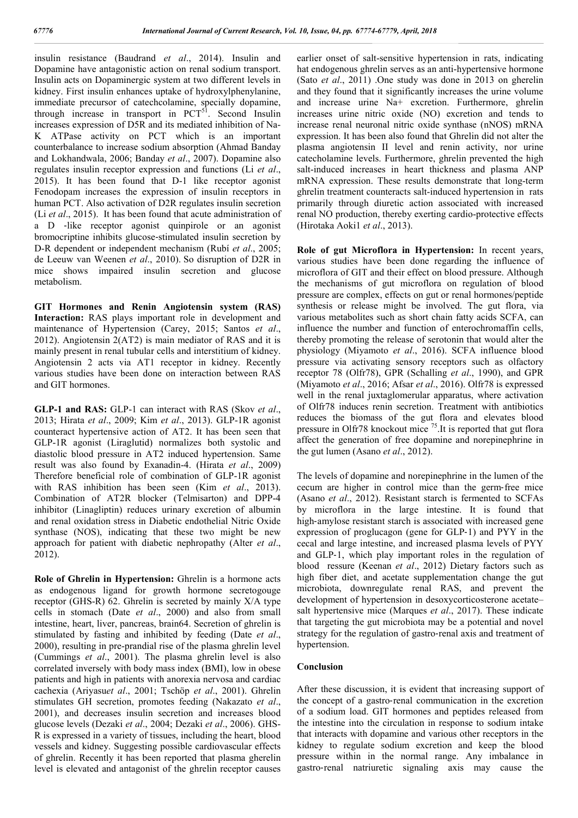insulin resistance (Baudrand *et al*., 2014). Insulin and Dopamine have antagonistic action on renal sodium transport. Insulin acts on Dopaminergic system at two different levels in kidney. First insulin enhances uptake of hydroxylphenylanine, immediate precursor of catechcolamine, specially dopamine, through increase in transport in PCT<sup>51</sup>. Second Insulin increases expression of D5R and its mediated inhibition of Na-K ATPase activity on PCT which is an important counterbalance to increase sodium absorption (Ahmad Banday and Lokhandwala, 2006; Banday *et al*., 2007). Dopamine also regulates insulin receptor expression and functions (Li *et al*., 2015). It has been found that D-1 like receptor agonist Fenodopam increases the expression of insulin receptors in human PCT. Also activation of D2R regulates insulin secretion (Li *et al*., 2015). It has been found that acute administration of a D ‐like receptor agonist quinpirole or an agonist bromocriptine inhibits glucose‐stimulated insulin secretion by D-R dependent or independent mechanism (Rubí *et al*., 2005; de Leeuw van Weenen *et al*., 2010). So disruption of D2R in mice shows impaired insulin secretion and glucose metabolism.

**GIT Hormones and Renin Angiotensin system (RAS) Interaction:** RAS plays important role in development and maintenance of Hypertension (Carey, 2015; Santos *et al*., 2012). Angiotensin 2(AT2) is main mediator of RAS and it is mainly present in renal tubular cells and interstitium of kidney. Angiotensin 2 acts via AT1 receptor in kidney. Recently various studies have been done on interaction between RAS and GIT hormones.

**GLP-1 and RAS:** GLP-1 can interact with RAS (Skov *et al*., 2013; Hirata *et al*., 2009; Kim *et al*., 2013). GLP-1R agonist counteract hypertensive action of AT2. It has been seen that GLP-1R agonist (Liraglutid) normalizes both systolic and diastolic blood pressure in AT2 induced hypertension. Same result was also found by Exanadin-4. (Hirata *et al*., 2009) Therefore beneficial role of combination of GLP-1R agonist with RAS inhibition has been seen (Kim *et al*., 2013). Combination of AT2R blocker (Telmisarton) and DPP-4 inhibitor (Linagliptin) reduces urinary excretion of albumin and renal oxidation stress in Diabetic endothelial Nitric Oxide synthase (NOS), indicating that these two might be new approach for patient with diabetic nephropathy (Alter *et al*., 2012).

**Role of Ghrelin in Hypertension:** Ghrelin is a hormone acts as endogenous ligand for growth hormone secretogouge receptor (GHS-R) 62. Ghrelin is secreted by mainly X/A type cells in stomach (Date *et al*., 2000) and also from small intestine, heart, liver, pancreas, brain64. Secretion of ghrelin is stimulated by fasting and inhibited by feeding (Date *et al*., 2000), resulting in pre-prandial rise of the plasma ghrelin level (Cummings *et al*., 2001). The plasma ghrelin level is also correlated inversely with body mass index (BMI), low in obese patients and high in patients with anorexia nervosa and cardiac cachexia (Ariyasu*et al*., 2001; Tschöp *et al*., 2001). Ghrelin stimulates GH secretion, promotes feeding (Nakazato *et al*., 2001), and decreases insulin secretion and increases blood glucose levels (Dezaki *et al*., 2004; Dezaki *et al*., 2006). GHS-R is expressed in a variety of tissues, including the heart, blood vessels and kidney. Suggesting possible cardiovascular effects of ghrelin. Recently it has been reported that plasma gherelin level is elevated and antagonist of the ghrelin receptor causes

earlier onset of salt-sensitive hypertension in rats, indicating hat endogenous ghrelin serves as an anti-hypertensive hormone (Sato *et al*., 2011) .One study was done in 2013 on gherelin and they found that it significantly increases the urine volume and increase urine Na+ excretion. Furthermore, ghrelin increases urine nitric oxide (NO) excretion and tends to increase renal neuronal nitric oxide synthase (nNOS) mRNA expression. It has been also found that Ghrelin did not alter the plasma angiotensin II level and renin activity, nor urine catecholamine levels. Furthermore, ghrelin prevented the high salt-induced increases in heart thickness and plasma ANP mRNA expression. These results demonstrate that long-term ghrelin treatment counteracts salt-induced hypertension in rats primarily through diuretic action associated with increased renal NO production, thereby exerting cardio-protective effects (Hirotaka Aoki1 *et al*., 2013).

**Role of gut Microflora in Hypertension:** In recent years, various studies have been done regarding the influence of microflora of GIT and their effect on blood pressure. Although the mechanisms of gut microflora on regulation of blood pressure are complex, effects on gut or renal hormones/peptide synthesis or release might be involved. The gut flora, via various metabolites such as short chain fatty acids SCFA, can influence the number and function of enterochromaffin cells, thereby promoting the release of serotonin that would alter the physiology (Miyamoto *et al*., 2016). SCFA influence blood pressure via activating sensory receptors such as olfactory receptor 78 (Olfr78), GPR (Schalling *et al*., 1990), and GPR (Miyamoto *et al*., 2016; Afsar *et al*., 2016). Olfr78 is expressed well in the renal juxtaglomerular apparatus, where activation of Olfr78 induces renin secretion. Treatment with antibiotics reduces the biomass of the gut flora and elevates blood pressure in Olfr78 knockout mice 75.It is reported that gut flora affect the generation of free dopamine and norepinephrine in the gut lumen (Asano *et al*., 2012).

The levels of dopamine and norepinephrine in the lumen of the cecum are higher in control mice than the germ‐free mice (Asano *et al*., 2012). Resistant starch is fermented to SCFAs by microflora in the large intestine. It is found that high-amylose resistant starch is associated with increased gene expression of proglucagon (gene for GLP‐1) and PYY in the cecal and large intestine, and increased plasma levels of PYY and GLP‐1, which play important roles in the regulation of blood ressure (Keenan *et al*., 2012) Dietary factors such as high fiber diet, and acetate supplementation change the gut microbiota, downregulate renal RAS, and prevent the development of hypertension in desoxycorticosterone acetate– salt hypertensive mice (Marques *et al*., 2017). These indicate that targeting the gut microbiota may be a potential and novel strategy for the regulation of gastro‐renal axis and treatment of hypertension.

#### **Conclusion**

After these discussion, it is evident that increasing support of the concept of a gastro‐renal communication in the excretion of a sodium load. GIT hormones and peptides released from the intestine into the circulation in response to sodium intake that interacts with dopamine and various other receptors in the kidney to regulate sodium excretion and keep the blood pressure within in the normal range. Any imbalance in gastro‐renal natriuretic signaling axis may cause the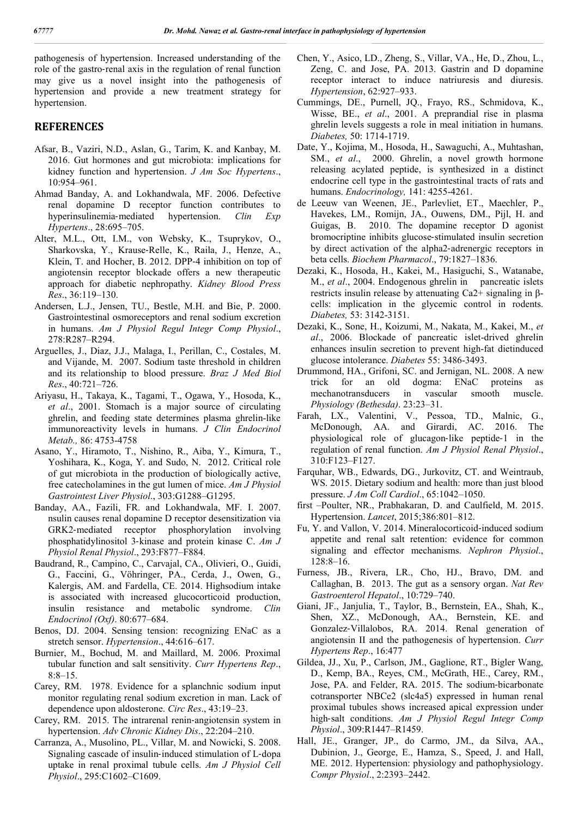pathogenesis of hypertension. Increased understanding of the role of the gastro‐renal axis in the regulation of renal function may give us a novel insight into the pathogenesis of hypertension and provide a new treatment strategy for hypertension.

#### **REFERENCES**

- Afsar, B., Vaziri, N.D., Aslan, G., Tarim, K. and Kanbay, M. 2016. Gut hormones and gut microbiota: implications for kidney function and hypertension. *J Am Soc Hypertens*., 10:954–961.
- Ahmad Banday, A. and Lokhandwala, MF. 2006. Defective renal dopamine D receptor function contributes to hyperinsulinemia‐mediated hypertension. *Clin Exp Hypertens*., 28:695–705.
- Alter, M.L., Ott, I.M., von Websky, K., Tsuprykov, O., Sharkovska, Y., Krause‐Relle, K., Raila, J., Henze, A., Klein, T. and Hocher, B. 2012. DPP-4 inhibition on top of angiotensin receptor blockade offers a new therapeutic approach for diabetic nephropathy. *Kidney Blood Press Res*., 36:119–130.
- Andersen, L.J., Jensen, TU., Bestle, M.H. and Bie, P. 2000. Gastrointestinal osmoreceptors and renal sodium excretion in humans. *Am J Physiol Regul Integr Comp Physiol*., 278:R287–R294.
- Arguelles, J., Diaz, J.J., Malaga, I., Perillan, C., Costales, M. and Vijande, M. 2007. Sodium taste threshold in children and its relationship to blood pressure. *Braz J Med Biol Res*., 40:721–726.
- Ariyasu, H., Takaya, K., Tagami, T., Ogawa, Y., Hosoda, K., *et al*., 2001. Stomach is a major source of circulating ghrelin, and feeding state determines plasma ghrelin-like immunoreactivity levels in humans. *J Clin Endocrinol Metab.,* 86: 4753-4758
- Asano, Y., Hiramoto, T., Nishino, R., Aiba, Y., Kimura, T., Yoshihara, K., Koga, Y. and Sudo, N. 2012. Critical role of gut microbiota in the production of biologically active, free catecholamines in the gut lumen of mice. *Am J Physiol Gastrointest Liver Physiol*., 303:G1288–G1295.
- Banday, AA., Fazili, FR. and Lokhandwala, MF. I. 2007. nsulin causes renal dopamine D receptor desensitization via GRK2‐mediated receptor phosphorylation involving phosphatidylinositol 3‐kinase and protein kinase C. *Am J Physiol Renal Physiol*., 293:F877–F884.
- Baudrand, R., Campino, C., Carvajal, CA., Olivieri, O., Guidi, G., Faccini, G., Vöhringer, PA., Cerda, J., Owen, G., Kalergis, AM. and Fardella, CE. 2014. Highsodium intake is associated with increased glucocorticoid production, insulin resistance and metabolic syndrome. *Clin Endocrinol (Oxf)*. 80:677–684.
- Benos, DJ. 2004. Sensing tension: recognizing ENaC as a stretch sensor. *Hypertension*., 44:616–617.
- Burnier, M., Bochud, M. and Maillard, M. 2006. Proximal tubular function and salt sensitivity. *Curr Hypertens Rep*., 8:8–15.
- Carey, RM. 1978. Evidence for a splanchnic sodium input monitor regulating renal sodium excretion in man. Lack of dependence upon aldosterone. *Circ Res*., 43:19–23.
- Carey, RM. 2015. The intrarenal renin‐angiotensin system in hypertension. *Adv Chronic Kidney Dis*., 22:204–210.
- Carranza, A., Musolino, PL., Villar, M. and Nowicki, S. 2008. Signaling cascade of insulin‐induced stimulation of L‐dopa uptake in renal proximal tubule cells. *Am J Physiol Cell Physiol*., 295:C1602–C1609.
- Chen, Y., Asico, LD., Zheng, S., Villar, VA., He, D., Zhou, L., Zeng, C. and Jose, PA. 2013. Gastrin and D dopamine receptor interact to induce natriuresis and diuresis. *Hypertension*, 62:927–933.
- Cummings, DE., Purnell, JQ., Frayo, RS., Schmidova, K., Wisse, BE., *et al*., 2001. A preprandial rise in plasma ghrelin levels suggests a role in meal initiation in humans. *Diabetes,* 50: 1714-1719.
- Date, Y., Kojima, M., Hosoda, H., Sawaguchi, A., Muhtashan, SM., *et al*., 2000. Ghrelin, a novel growth hormone releasing acylated peptide, is synthesized in a distinct endocrine cell type in the gastrointestinal tracts of rats and humans. *Endocrinology,* 141: 4255-4261.
- de Leeuw van Weenen, JE., Parlevliet, ET., Maechler, P., Havekes, LM., Romijn, JA., Ouwens, DM., Pijl, H. and Guigas, B. 2010. The dopamine receptor D agonist bromocriptine inhibits glucose‐stimulated insulin secretion by direct activation of the alpha2‐adrenergic receptors in beta cells. *Biochem Pharmacol*., 79:1827–1836.
- Dezaki, K., Hosoda, H., Kakei, M., Hasiguchi, S., Watanabe, M., *et al*., 2004. Endogenous ghrelin in pancreatic islets restricts insulin release by attenuating Ca2+ signaling in βcells: implication in the glycemic control in rodents. *Diabetes,* 53: 3142-3151.
- Dezaki, K., Sone, H., Koizumi, M., Nakata, M., Kakei, M., *et al*., 2006. Blockade of pancreatic islet-drived ghrelin enhances insulin secretion to prevent high-fat dietinduced glucose intolerance. *Diabetes* 55: 3486-3493.
- Drummond, HA., Grifoni, SC. and Jernigan, NL. 2008. A new trick for an old dogma: ENaC proteins as mechanotransducers in vascular smooth muscle. *Physiology (Bethesda)*. 23:23–31.
- Farah, LX., Valentini, V., Pessoa, TD., Malnic, G., McDonough, AA. and Girardi, AC. 2016. The physiological role of glucagon‐like peptide‐1 in the regulation of renal function. *Am J Physiol Renal Physiol*., 310:F123–F127.
- Farquhar, WB., Edwards, DG., Jurkovitz, CT. and Weintraub, WS. 2015. Dietary sodium and health: more than just blood pressure. *J Am Coll Cardiol*., 65:1042–1050.
- first –Poulter, NR., Prabhakaran, D. and Caulfield, M. 2015. Hypertension. *Lancet*, 2015;386:801–812.
- Fu, Y. and Vallon, V. 2014. Mineralocorticoid‐induced sodium appetite and renal salt retention: evidence for common signaling and effector mechanisms. *Nephron Physiol*., 128:8–16.
- Furness, JB., Rivera, LR., Cho, HJ., Bravo, DM. and Callaghan, B. 2013. The gut as a sensory organ. *Nat Rev Gastroenterol Hepatol*., 10:729–740.
- Giani, JF., Janjulia, T., Taylor, B., Bernstein, EA., Shah, K., Shen, XZ., McDonough, AA., Bernstein, KE. and Gonzalez‐Villalobos, RA. 2014. Renal generation of angiotensin II and the pathogenesis of hypertension. *Curr Hypertens Rep*., 16:477
- Gildea, JJ., Xu, P., Carlson, JM., Gaglione, RT., Bigler Wang, D., Kemp, BA., Reyes, CM., McGrath, HE., Carey, RM., Jose, PA. and Felder, RA. 2015. The sodium‐bicarbonate cotransporter NBCe2 (slc4a5) expressed in human renal proximal tubules shows increased apical expression under high‐salt conditions. *Am J Physiol Regul Integr Comp Physiol*., 309:R1447–R1459.
- Hall, JE., Granger, JP., do Carmo, JM., da Silva, AA., Dubinion, J., George, E., Hamza, S., Speed, J. and Hall, ME. 2012. Hypertension: physiology and pathophysiology. *Compr Physiol*., 2:2393–2442.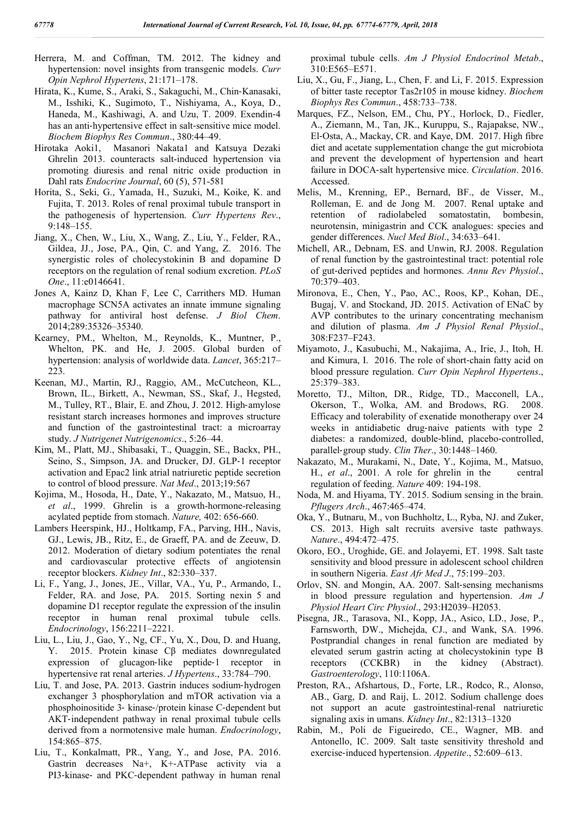- Herrera, M. and Coffman, TM. 2012. The kidney and hypertension: novel insights from transgenic models. *Curr Opin Nephrol Hypertens*, 21:171–178.
- Hirata, K., Kume, S., Araki, S., Sakaguchi, M., Chin‐Kanasaki, M., Isshiki, K., Sugimoto, T., Nishiyama, A., Koya, D., Haneda, M., Kashiwagi, A. and Uzu, T. 2009. Exendin‐4 has an anti-hypertensive effect in salt-sensitive mice model. *Biochem Biophys Res Commun*., 380:44–49.
- Hirotaka Aoki1, Masanori Nakata1 and Katsuya Dezaki Ghrelin 2013. counteracts salt-induced hypertension via promoting diuresis and renal nitric oxide production in Dahl rats *Endocrine Journal*, 60 (5), 571-581
- Horita, S., Seki, G., Yamada, H., Suzuki, M., Koike, K. and Fujita, T. 2013. Roles of renal proximal tubule transport in the pathogenesis of hypertension. *Curr Hypertens Rev*., 9:148–155.
- Jiang, X., Chen, W., Liu, X., Wang, Z., Liu, Y., Felder, RA., Gildea, JJ., Jose, PA., Qin, C. and Yang, Z. 2016. The synergistic roles of cholecystokinin B and dopamine D receptors on the regulation of renal sodium excretion. *PLoS One*., 11:e0146641.
- Jones A, Kainz D, Khan F, Lee C, Carrithers MD. Human macrophage SCN5A activates an innate immune signaling pathway for antiviral host defense. *J Biol Chem*. 2014;289:35326–35340.
- Kearney, PM., Whelton, M., Reynolds, K., Muntner, P., Whelton, PK. and He, J. 2005. Global burden of hypertension: analysis of worldwide data. *Lancet*, 365:217– 223.
- Keenan, MJ., Martin, RJ., Raggio, AM., McCutcheon, KL., Brown, IL., Birkett, A., Newman, SS., Skaf, J., Hegsted, M., Tulley, RT., Blair, E. and Zhou, J. 2012. High‐amylose resistant starch increases hormones and improves structure and function of the gastrointestinal tract: a microarray study. *J Nutrigenet Nutrigenomics*., 5:26–44.
- Kim, M., Platt, MJ., Shibasaki, T., Quaggin, SE., Backx, PH., Seino, S., Simpson, JA. and Drucker, DJ. GLP‐1 receptor activation and Epac2 link atrial natriuretic peptide secretion to control of blood pressure. *Nat Med*., 2013;19:567
- Kojima, M., Hosoda, H., Date, Y., Nakazato, M., Matsuo, H., *et al*., 1999. Ghrelin is a growth-hormone-releasing acylated peptide from stomach. *Nature,* 402: 656-660.
- Lambers Heerspink, HJ., Holtkamp, FA., Parving, HH., Navis, GJ., Lewis, JB., Ritz, E., de Graeff, PA. and de Zeeuw, D. 2012. Moderation of dietary sodium potentiates the renal and cardiovascular protective effects of angiotensin receptor blockers. *Kidney Int*., 82:330–337.
- Li, F., Yang, J., Jones, JE., Villar, VA., Yu, P., Armando, I., Felder, RA. and Jose, PA. 2015. Sorting nexin 5 and dopamine D1 receptor regulate the expression of the insulin receptor in human renal proximal tubule cells. *Endocrinology*, 156:2211–2221.
- Liu, L., Liu, J., Gao, Y., Ng, CF., Yu, X., Dou, D. and Huang, Y. 2015. Protein kinase Cβ mediates downregulated expression of glucagon‐like peptide‐1 receptor in hypertensive rat renal arteries. *J Hypertens*., 33:784–790.
- Liu, T. and Jose, PA. 2013. Gastrin induces sodium‐hydrogen exchanger 3 phosphorylation and mTOR activation via a phosphoinositide 3‐ kinase‐/protein kinase C‐dependent but AKT‐independent pathway in renal proximal tubule cells derived from a normotensive male human. *Endocrinology*, 154:865–875.
- Liu, T., Konkalmatt, PR., Yang, Y., and Jose, PA. 2016. Gastrin decreases Na+, K+‐ATPase activity via a PI3‐kinase‐ and PKC‐dependent pathway in human renal

proximal tubule cells. *Am J Physiol Endocrinol Metab*., 310:E565–E571.

- Liu, X., Gu, F., Jiang, L., Chen, F. and Li, F. 2015. Expression of bitter taste receptor Tas2r105 in mouse kidney. *Biochem Biophys Res Commun*., 458:733–738.
- Marques, FZ., Nelson, EM., Chu, PY., Horlock, D., Fiedler, A., Ziemann, M., Tan, JK., Kuruppu, S., Rajapakse, NW., El‐Osta, A., Mackay, CR. and Kaye, DM. 2017. High fibre diet and acetate supplementation change the gut microbiota and prevent the development of hypertension and heart failure in DOCA‐salt hypertensive mice. *Circulation*. 2016. Accessed.
- Melis, M., Krenning, EP., Bernard, BF., de Visser, M., Rolleman, E. and de Jong M. 2007. Renal uptake and retention of radiolabeled somatostatin, bombesin, neurotensin, minigastrin and CCK analogues: species and gender differences. *Nucl Med Biol*., 34:633–641.
- Michell, AR., Debnam, ES. and Unwin, RJ. 2008. Regulation of renal function by the gastrointestinal tract: potential role of gut‐derived peptides and hormones. *Annu Rev Physiol*., 70:379–403.
- Mironova, E., Chen, Y., Pao, AC., Roos, KP., Kohan, DE., Bugaj, V. and Stockand, JD. 2015. Activation of ENaC by AVP contributes to the urinary concentrating mechanism and dilution of plasma. *Am J Physiol Renal Physiol*., 308:F237–F243.
- Miyamoto, J., Kasubuchi, M., Nakajima, A., Irie, J., Itoh, H. and Kimura, I. 2016. The role of short‐chain fatty acid on blood pressure regulation. *Curr Opin Nephrol Hypertens*., 25:379–383.
- Moretto, TJ., Milton, DR., Ridge, TD., Macconell, LA., Okerson, T., Wolka, AM. and Brodows, RG. 2008. Efficacy and tolerability of exenatide monotherapy over 24 weeks in antidiabetic drug-naive patients with type 2 diabetes: a randomized, double‐blind, placebo‐controlled, parallel‐group study. *Clin Ther*., 30:1448–1460.
- Nakazato, M., Murakami, N., Date, Y., Kojima, M., Matsuo, H., *et al*., 2001. A role for ghrelin in the central regulation of feeding. *Nature* 409: 194-198.
- Noda, M. and Hiyama, TY. 2015. Sodium sensing in the brain. *Pflugers Arch*., 467:465–474.
- Oka, Y., Butnaru, M., von Buchholtz, L., Ryba, NJ. and Zuker, CS. 2013. High salt recruits aversive taste pathways. *Nature*., 494:472–475.
- Okoro, EO., Uroghide, GE. and Jolayemi, ET. 1998. Salt taste sensitivity and blood pressure in adolescent school children in southern Nigeria. *East Afr Med J*., 75:199–203.
- Orlov, SN. and Mongin, AA. 2007. Salt‐sensing mechanisms in blood pressure regulation and hypertension. *Am J Physiol Heart Circ Physiol*., 293:H2039–H2053.
- Pisegna, JR., Tarasova, NI., Kopp, JA., Asico, LD., Jose, P., Farnsworth, DW., Michejda, CJ., and Wank, SA. 1996. Postprandial changes in renal function are mediated by elevated serum gastrin acting at cholecystokinin type B receptors (CCKBR) in the kidney (Abstract). *Gastroenterology*, 110:1106A.
- Preston, RA., Afshartous, D., Forte, LR., Rodco, R., Alonso, AB., Garg, D. and Raij, L. 2012. Sodium challenge does not support an acute gastrointestinal‐renal natriuretic signaling axis in umans. *Kidney Int*., 82:1313–1320
- Rabin, M., Poli de Figueiredo, CE., Wagner, MB. and Antonello, IC. 2009. Salt taste sensitivity threshold and exercise‐induced hypertension. *Appetite*., 52:609–613.